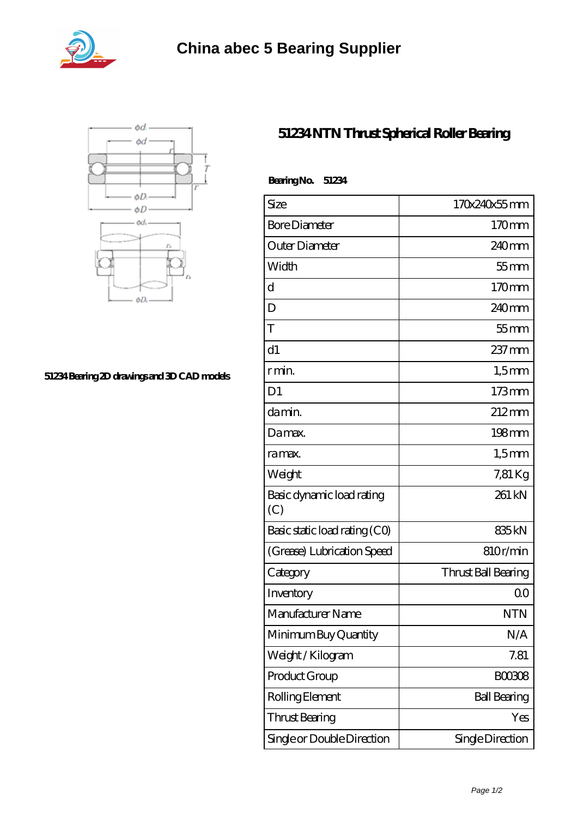



## **[51234 Bearing 2D drawings and 3D CAD models](https://abtrio.com/pic-1075475.html)**

## **[51234 NTN Thrust Spherical Roller Bearing](https://abtrio.com/cylindrical-roller-bearing/51234.html)**

| BearingNo.<br>51234              |                     |
|----------------------------------|---------------------|
| Size                             | 170x240x55mm        |
| <b>Bore Diameter</b>             | 170mm               |
| Outer Diameter                   | $240$ mm            |
| Width                            | $55$ mm             |
| d                                | 170mm               |
| D                                | 240 <sub>mm</sub>   |
| T                                | $55$ mm             |
| d1                               | $237$ mm            |
| r min.                           | $1,5$ mm            |
| D <sub>1</sub>                   | $173$ mm            |
| da min.                          | $212 \text{mm}$     |
| Damax.                           | $198$ mm            |
| ra max.                          | $1,5$ mm            |
| Weight                           | 7,81 Kg             |
| Basic dynamic load rating<br>(C) | 261 kN              |
| Basic static load rating (CO)    | 835 <sub>kN</sub>   |
| (Grease) Lubrication Speed       | 810r/min            |
| Category                         | Thrust Ball Bearing |
| Inventory                        | 0 <sup>0</sup>      |
| Manufacturer Name                | <b>NTN</b>          |
| Minimum Buy Quantity             | N/A                 |
| Weight/Kilogram                  | 7.81                |
| Product Group                    | <b>BOO3O8</b>       |
| Rolling Element                  | <b>Ball Bearing</b> |
| Thrust Bearing                   | Yes                 |
| Single or Double Direction       | Single Direction    |